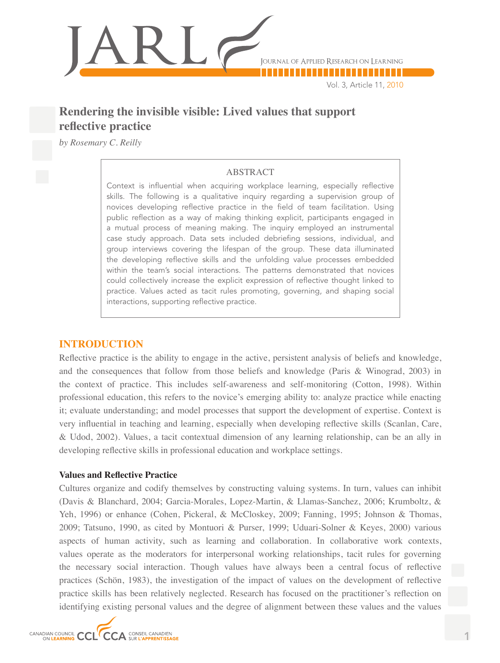

Vol. 3, Article 11, 2010

# **Rendering the invisible visible: Lived values that support reflective practice**

*by Rosemary C. Reilly*

# ABSTRACT

Context is influential when acquiring workplace learning, especially reflective skills. The following is a qualitative inquiry regarding a supervision group of novices developing reflective practice in the field of team facilitation. Using public reflection as a way of making thinking explicit, participants engaged in a mutual process of meaning making. The inquiry employed an instrumental case study approach. Data sets included debriefing sessions, individual, and group interviews covering the lifespan of the group. These data illuminated the developing reflective skills and the unfolding value processes embedded within the team's social interactions. The patterns demonstrated that novices could collectively increase the explicit expression of reflective thought linked to practice. Values acted as tacit rules promoting, governing, and shaping social interactions, supporting reflective practice.

# **INTRODUCTION**

Reflective practice is the ability to engage in the active, persistent analysis of beliefs and knowledge, and the consequences that follow from those beliefs and knowledge (Paris & Winograd, 2003) in the context of practice. This includes self-awareness and self-monitoring (Cotton, 1998). Within professional education, this refers to the novice's emerging ability to: analyze practice while enacting it; evaluate understanding; and model processes that support the development of expertise. Context is very influential in teaching and learning, especially when developing reflective skills (Scanlan, Care, & Udod, 2002). Values, a tacit contextual dimension of any learning relationship, can be an ally in developing reflective skills in professional education and workplace settings.

#### **Values and Reflective Practice**

Cultures organize and codify themselves by constructing valuing systems. In turn, values can inhibit (Davis & Blanchard, 2004; Garcia-Morales, Lopez-Martin, & Llamas-Sanchez, 2006; Krumboltz, & Yeh, 1996) or enhance (Cohen, Pickeral, & McCloskey, 2009; Fanning, 1995; Johnson & Thomas, 2009; Tatsuno, 1990, as cited by Montuori & Purser, 1999; Uduari-Solner & Keyes, 2000) various aspects of human activity, such as learning and collaboration. In collaborative work contexts, values operate as the moderators for interpersonal working relationships, tacit rules for governing the necessary social interaction. Though values have always been a central focus of reflective practices (Schön, 1983), the investigation of the impact of values on the development of reflective practice skills has been relatively neglected. Research has focused on the practitioner's reflection on identifying existing personal values and the degree of alignment between these values and the values

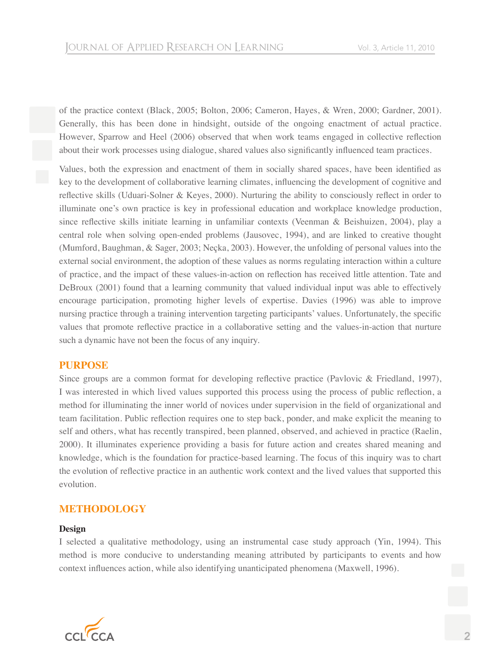of the practice context (Black, 2005; Bolton, 2006; Cameron, Hayes, & Wren, 2000; Gardner, 2001). Generally, this has been done in hindsight, outside of the ongoing enactment of actual practice. However, Sparrow and Heel (2006) observed that when work teams engaged in collective reflection about their work processes using dialogue, shared values also significantly influenced team practices.

Values, both the expression and enactment of them in socially shared spaces, have been identified as key to the development of collaborative learning climates, influencing the development of cognitive and reflective skills (Uduari-Solner & Keyes, 2000). Nurturing the ability to consciously reflect in order to illuminate one's own practice is key in professional education and workplace knowledge production, since reflective skills initiate learning in unfamiliar contexts (Veenman & Beishuizen, 2004), play a central role when solving open-ended problems (Jausovec, 1994), and are linked to creative thought (Mumford, Baughman, & Sager, 2003; Neçka, 2003). However, the unfolding of personal values into the external social environment, the adoption of these values as norms regulating interaction within a culture of practice, and the impact of these values-in-action on reflection has received little attention. Tate and DeBroux (2001) found that a learning community that valued individual input was able to effectively encourage participation, promoting higher levels of expertise. Davies (1996) was able to improve nursing practice through a training intervention targeting participants' values. Unfortunately, the specific values that promote reflective practice in a collaborative setting and the values-in-action that nurture such a dynamic have not been the focus of any inquiry.

# **PURPOSE**

Since groups are a common format for developing reflective practice (Pavlovic & Friedland, 1997), I was interested in which lived values supported this process using the process of public reflection, a method for illuminating the inner world of novices under supervision in the field of organizational and team facilitation. Public reflection requires one to step back, ponder, and make explicit the meaning to self and others, what has recently transpired, been planned, observed, and achieved in practice (Raelin, 2000). It illuminates experience providing a basis for future action and creates shared meaning and knowledge, which is the foundation for practice-based learning. The focus of this inquiry was to chart the evolution of reflective practice in an authentic work context and the lived values that supported this evolution.

# **METHODOLOGY**

#### **Design**

I selected a qualitative methodology, using an instrumental case study approach (Yin, 1994). This method is more conducive to understanding meaning attributed by participants to events and how context influences action, while also identifying unanticipated phenomena (Maxwell, 1996).

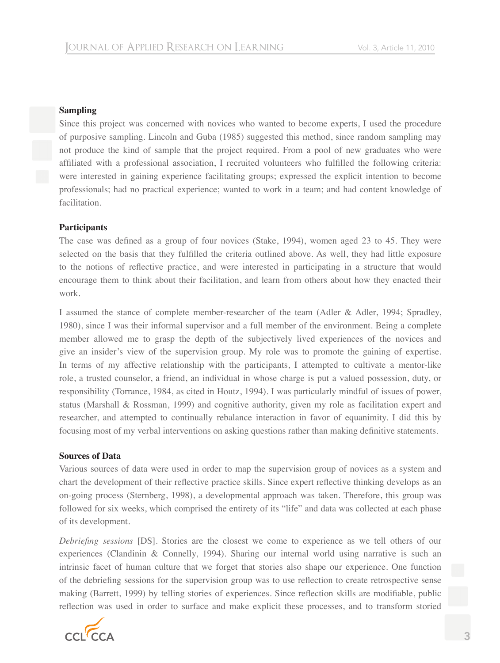#### **Sampling**

Since this project was concerned with novices who wanted to become experts, I used the procedure of purposive sampling. Lincoln and Guba (1985) suggested this method, since random sampling may not produce the kind of sample that the project required. From a pool of new graduates who were affiliated with a professional association, I recruited volunteers who fulfilled the following criteria: were interested in gaining experience facilitating groups; expressed the explicit intention to become professionals; had no practical experience; wanted to work in a team; and had content knowledge of facilitation.

#### **Participants**

The case was defined as a group of four novices (Stake, 1994), women aged 23 to 45. They were selected on the basis that they fulfilled the criteria outlined above. As well, they had little exposure to the notions of reflective practice, and were interested in participating in a structure that would encourage them to think about their facilitation, and learn from others about how they enacted their work.

I assumed the stance of complete member-researcher of the team (Adler & Adler, 1994; Spradley, 1980), since I was their informal supervisor and a full member of the environment. Being a complete member allowed me to grasp the depth of the subjectively lived experiences of the novices and give an insider's view of the supervision group. My role was to promote the gaining of expertise. In terms of my affective relationship with the participants, I attempted to cultivate a mentor-like role, a trusted counselor, a friend, an individual in whose charge is put a valued possession, duty, or responsibility (Torrance, 1984, as cited in Houtz, 1994). I was particularly mindful of issues of power, status (Marshall & Rossman, 1999) and cognitive authority, given my role as facilitation expert and researcher, and attempted to continually rebalance interaction in favor of equanimity. I did this by focusing most of my verbal interventions on asking questions rather than making definitive statements.

#### **Sources of Data**

Various sources of data were used in order to map the supervision group of novices as a system and chart the development of their reflective practice skills. Since expert reflective thinking develops as an on-going process (Sternberg, 1998), a developmental approach was taken. Therefore, this group was followed for six weeks, which comprised the entirety of its "life" and data was collected at each phase of its development.

*Debriefing sessions* [DS]. Stories are the closest we come to experience as we tell others of our experiences (Clandinin & Connelly, 1994). Sharing our internal world using narrative is such an intrinsic facet of human culture that we forget that stories also shape our experience. One function of the debriefing sessions for the supervision group was to use reflection to create retrospective sense making (Barrett, 1999) by telling stories of experiences. Since reflection skills are modifiable, public reflection was used in order to surface and make explicit these processes, and to transform storied

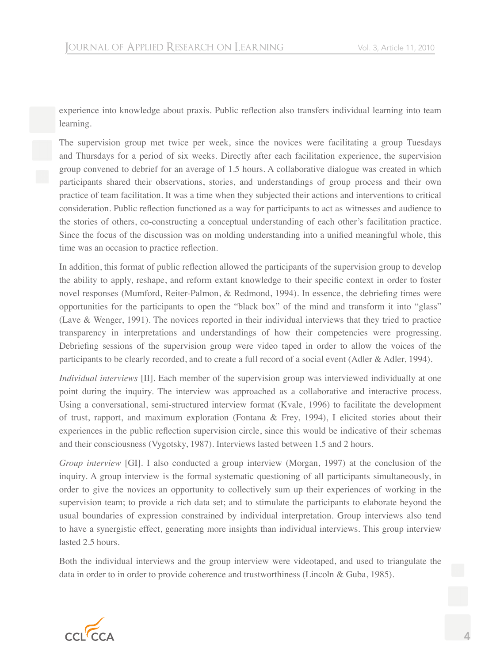experience into knowledge about praxis. Public reflection also transfers individual learning into team learning.

The supervision group met twice per week, since the novices were facilitating a group Tuesdays and Thursdays for a period of six weeks. Directly after each facilitation experience, the supervision group convened to debrief for an average of 1.5 hours. A collaborative dialogue was created in which participants shared their observations, stories, and understandings of group process and their own practice of team facilitation. It was a time when they subjected their actions and interventions to critical consideration. Public reflection functioned as a way for participants to act as witnesses and audience to the stories of others, co-constructing a conceptual understanding of each other's facilitation practice. Since the focus of the discussion was on molding understanding into a unified meaningful whole, this time was an occasion to practice reflection.

In addition, this format of public reflection allowed the participants of the supervision group to develop the ability to apply, reshape, and reform extant knowledge to their specific context in order to foster novel responses (Mumford, Reiter-Palmon, & Redmond, 1994). In essence, the debriefing times were opportunities for the participants to open the "black box" of the mind and transform it into "glass" (Lave & Wenger, 1991). The novices reported in their individual interviews that they tried to practice transparency in interpretations and understandings of how their competencies were progressing. Debriefing sessions of the supervision group were video taped in order to allow the voices of the participants to be clearly recorded, and to create a full record of a social event (Adler & Adler, 1994).

*Individual interviews* [II]. Each member of the supervision group was interviewed individually at one point during the inquiry. The interview was approached as a collaborative and interactive process. Using a conversational, semi-structured interview format (Kvale, 1996) to facilitate the development of trust, rapport, and maximum exploration (Fontana & Frey, 1994), I elicited stories about their experiences in the public reflection supervision circle, since this would be indicative of their schemas and their consciousness (Vygotsky, 1987). Interviews lasted between 1.5 and 2 hours.

*Group interview* [GI]. I also conducted a group interview (Morgan, 1997) at the conclusion of the inquiry. A group interview is the formal systematic questioning of all participants simultaneously, in order to give the novices an opportunity to collectively sum up their experiences of working in the supervision team; to provide a rich data set; and to stimulate the participants to elaborate beyond the usual boundaries of expression constrained by individual interpretation. Group interviews also tend to have a synergistic effect, generating more insights than individual interviews. This group interview lasted 2.5 hours.

Both the individual interviews and the group interview were videotaped, and used to triangulate the data in order to in order to provide coherence and trustworthiness (Lincoln & Guba, 1985).

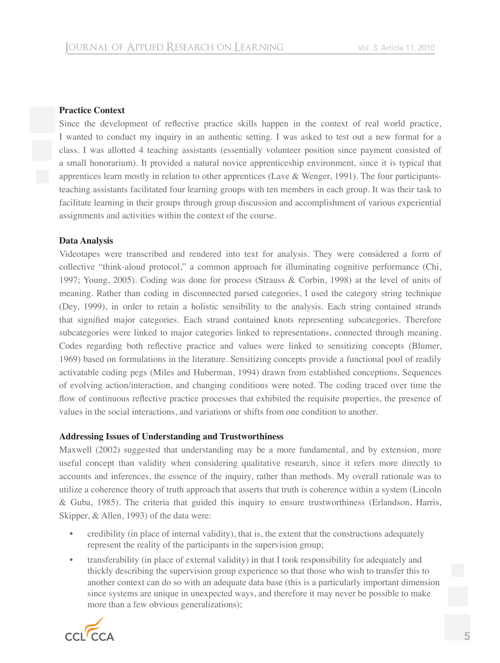#### **Practice Context**

Since the development of reflective practice skills happen in the context of real world practice, I wanted to conduct my inquiry in an authentic setting. I was asked to test out a new format for a class. I was allotted 4 teaching assistants (essentially volunteer position since payment consisted of a small honorarium). It provided a natural novice apprenticeship environment, since it is typical that apprentices learn mostly in relation to other apprentices (Lave & Wenger, 1991). The four participantsteaching assistants facilitated four learning groups with ten members in each group. It was their task to facilitate learning in their groups through group discussion and accomplishment of various experiential assignments and activities within the context of the course.

#### **Data Analysis**

Videotapes were transcribed and rendered into text for analysis. They were considered a form of collective "think-aloud protocol," a common approach for illuminating cognitive performance (Chi, 1997; Young, 2005). Coding was done for process (Strauss & Corbin, 1998) at the level of units of meaning. Rather than coding in disconnected parsed categories, I used the category string technique (Dey, 1999), in order to retain a holistic sensibility to the analysis. Each string contained strands that signified major categories. Each strand contained knots representing subcategories. Therefore subcategories were linked to major categories linked to representations, connected through meaning. Codes regarding both reflective practice and values were linked to sensitizing concepts (Blumer, 1969) based on formulations in the literature. Sensitizing concepts provide a functional pool of readily activatable coding pegs (Miles and Huberman, 1994) drawn from established conceptions. Sequences of evolving action/interaction, and changing conditions were noted. The coding traced over time the flow of continuous reflective practice processes that exhibited the requisite properties, the presence of values in the social interactions, and variations or shifts from one condition to another.

#### **Addressing Issues of Understanding and Trustworthiness**

Maxwell (2002) suggested that understanding may be a more fundamental, and by extension, more useful concept than validity when considering qualitative research, since it refers more directly to accounts and inferences, the essence of the inquiry, rather than methods. My overall rationale was to utilize a coherence theory of truth approach that asserts that truth is coherence within a system (Lincoln & Guba, 1985). The criteria that guided this inquiry to ensure trustworthiness (Erlandson, Harris, Skipper, & Allen, 1993) of the data were:

- credibility (in place of internal validity), that is, the extent that the constructions adequately represent the reality of the participants in the supervision group;
- transferability (in place of external validity) in that I took responsibility for adequately and thickly describing the supervision group experience so that those who wish to transfer this to another context can do so with an adequate data base (this is a particularly important dimension since systems are unique in unexpected ways, and therefore it may never be possible to make more than a few obvious generalizations);

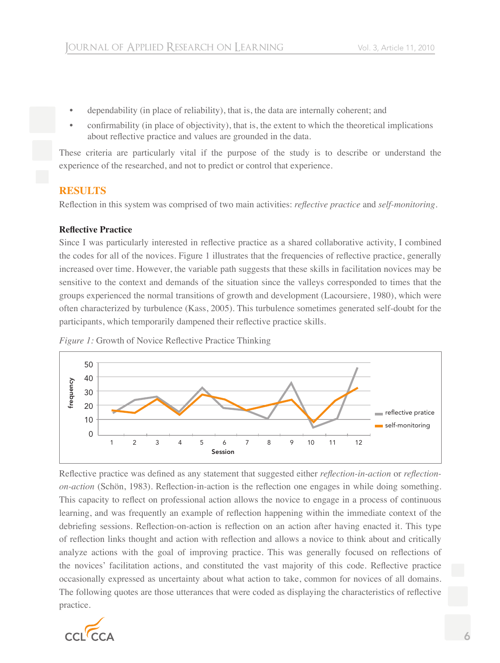- dependability (in place of reliability), that is, the data are internally coherent; and
- confirmability (in place of objectivity), that is, the extent to which the theoretical implications about reflective practice and values are grounded in the data.

These criteria are particularly vital if the purpose of the study is to describe or understand the experience of the researched, and not to predict or control that experience.

# **RESULTS**

Reflection in this system was comprised of two main activities: *reflective practice* and *self-monitoring*.

#### **Reflective Practice**

Since I was particularly interested in reflective practice as a shared collaborative activity, I combined the codes for all of the novices. Figure 1 illustrates that the frequencies of reflective practice, generally increased over time. However, the variable path suggests that these skills in facilitation novices may be sensitive to the context and demands of the situation since the valleys corresponded to times that the groups experienced the normal transitions of growth and development (Lacoursiere, 1980), which were often characterized by turbulence (Kass, 2005). This turbulence sometimes generated self-doubt for the participants, which temporarily dampened their reflective practice skills.





Reflective practice was defined as any statement that suggested either *reflection-in-action* or *reflectionon-action* (Schön, 1983). Reflection-in-action is the reflection one engages in while doing something. This capacity to reflect on professional action allows the novice to engage in a process of continuous learning, and was frequently an example of reflection happening within the immediate context of the debriefing sessions. Reflection-on-action is reflection on an action after having enacted it. This type of reflection links thought and action with reflection and allows a novice to think about and critically analyze actions with the goal of improving practice. This was generally focused on reflections of the novices' facilitation actions, and constituted the vast majority of this code. Reflective practice occasionally expressed as uncertainty about what action to take, common for novices of all domains. The following quotes are those utterances that were coded as displaying the characteristics of reflective practice.

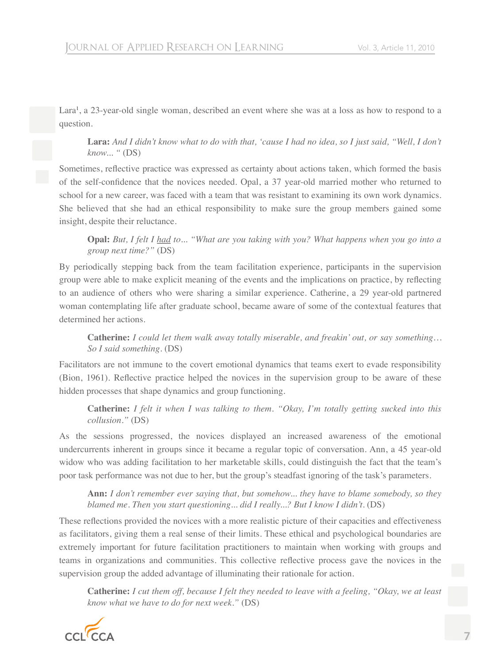Lara<sup>1</sup>, a 23-year-old single woman, described an event where she was at a loss as how to respond to a question.

**Lara:** *And I didn't know what to do with that, 'cause I had no idea, so I just said, "Well, I don't know... "* (DS)

Sometimes, reflective practice was expressed as certainty about actions taken, which formed the basis of the self-confidence that the novices needed. Opal, a 37 year-old married mother who returned to school for a new career, was faced with a team that was resistant to examining its own work dynamics. She believed that she had an ethical responsibility to make sure the group members gained some insight, despite their reluctance.

**Opal:** *But, I felt I had to... "What are you taking with you? What happens when you go into a group next time?"* (DS)

By periodically stepping back from the team facilitation experience, participants in the supervision group were able to make explicit meaning of the events and the implications on practice, by reflecting to an audience of others who were sharing a similar experience. Catherine, a 29 year-old partnered woman contemplating life after graduate school, became aware of some of the contextual features that determined her actions.

**Catherine:** *I could let them walk away totally miserable, and freakin' out, or say something… So I said something*. (DS)

Facilitators are not immune to the covert emotional dynamics that teams exert to evade responsibility (Bion, 1961). Reflective practice helped the novices in the supervision group to be aware of these hidden processes that shape dynamics and group functioning.

**Catherine:** *I felt it when I was talking to them. "Okay, I'm totally getting sucked into this collusion."* (DS)

As the sessions progressed, the novices displayed an increased awareness of the emotional undercurrents inherent in groups since it became a regular topic of conversation. Ann, a 45 year-old widow who was adding facilitation to her marketable skills, could distinguish the fact that the team's poor task performance was not due to her, but the group's steadfast ignoring of the task's parameters.

**Ann:** *I don't remember ever saying that, but somehow... they have to blame somebody, so they blamed me. Then you start questioning... did I really...? But I know I didn't*. (DS)

These reflections provided the novices with a more realistic picture of their capacities and effectiveness as facilitators, giving them a real sense of their limits. These ethical and psychological boundaries are extremely important for future facilitation practitioners to maintain when working with groups and teams in organizations and communities. This collective reflective process gave the novices in the supervision group the added advantage of illuminating their rationale for action.

**Catherine:** *I cut them off, because I felt they needed to leave with a feeling, "Okay, we at least know what we have to do for next week."* (DS)

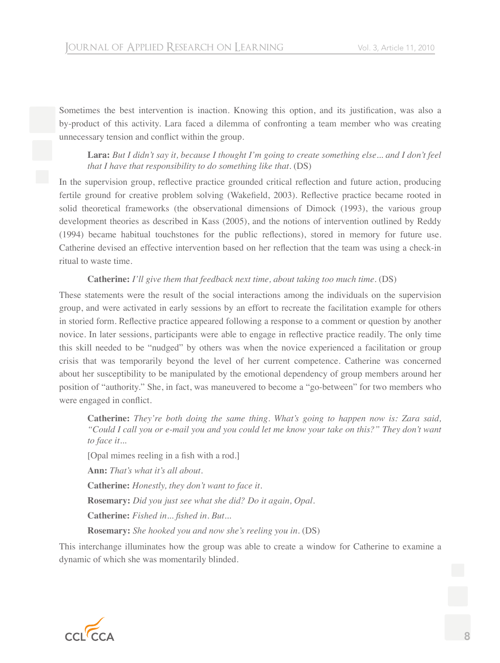Sometimes the best intervention is inaction. Knowing this option, and its justification, was also a by-product of this activity. Lara faced a dilemma of confronting a team member who was creating unnecessary tension and conflict within the group.

**Lara:** *But I didn't say it, because I thought I'm going to create something else... and I don't feel that I have that responsibility to do something like that*. (DS)

In the supervision group, reflective practice grounded critical reflection and future action, producing fertile ground for creative problem solving (Wakefield, 2003). Reflective practice became rooted in solid theoretical frameworks (the observational dimensions of Dimock (1993), the various group development theories as described in Kass (2005), and the notions of intervention outlined by Reddy (1994) became habitual touchstones for the public reflections), stored in memory for future use. Catherine devised an effective intervention based on her reflection that the team was using a check-in ritual to waste time.

# **Catherine:** *I'll give them that feedback next time, about taking too much time*. (DS)

These statements were the result of the social interactions among the individuals on the supervision group, and were activated in early sessions by an effort to recreate the facilitation example for others in storied form. Reflective practice appeared following a response to a comment or question by another novice. In later sessions, participants were able to engage in reflective practice readily. The only time this skill needed to be "nudged" by others was when the novice experienced a facilitation or group crisis that was temporarily beyond the level of her current competence. Catherine was concerned about her susceptibility to be manipulated by the emotional dependency of group members around her position of "authority." She, in fact, was maneuvered to become a "go-between" for two members who were engaged in conflict.

**Catherine:** *They're both doing the same thing. What's going to happen now is: Zara said, "Could I call you or e-mail you and you could let me know your take on this?" They don't want to face it...* [Opal mimes reeling in a fish with a rod.]

**Ann:** *That's what it's all about.* **Catherine:** *Honestly, they don't want to face it.* **Rosemary:** *Did you just see what she did? Do it again, Opal.* Catherine: Fished in... fished in. But... **Rosemary:** *She hooked you and now she's reeling you in*. (DS)

This interchange illuminates how the group was able to create a window for Catherine to examine a dynamic of which she was momentarily blinded.

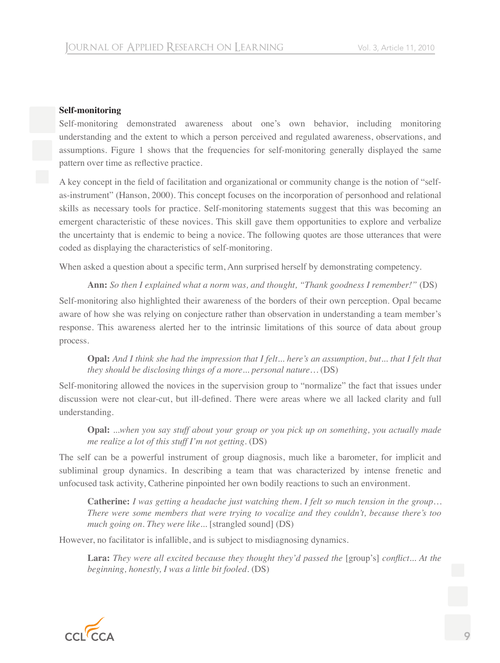#### **Self-monitoring**

Self-monitoring demonstrated awareness about one's own behavior, including monitoring understanding and the extent to which a person perceived and regulated awareness, observations, and assumptions. Figure 1 shows that the frequencies for self-monitoring generally displayed the same pattern over time as reflective practice.

A key concept in the field of facilitation and organizational or community change is the notion of "selfas-instrument" (Hanson, 2000). This concept focuses on the incorporation of personhood and relational skills as necessary tools for practice. Self-monitoring statements suggest that this was becoming an emergent characteristic of these novices. This skill gave them opportunities to explore and verbalize the uncertainty that is endemic to being a novice. The following quotes are those utterances that were coded as displaying the characteristics of self-monitoring.

When asked a question about a specific term, Ann surprised herself by demonstrating competency.

**Ann:** *So then I explained what a norm was, and thought, "Thank goodness I remember!"* (DS) Self-monitoring also highlighted their awareness of the borders of their own perception. Opal became aware of how she was relying on conjecture rather than observation in understanding a team member's response. This awareness alerted her to the intrinsic limitations of this source of data about group process.

**Opal:** *And I think she had the impression that I felt... here's an assumption, but... that I felt that they should be disclosing things of a more... personal nature…* (DS)

Self-monitoring allowed the novices in the supervision group to "normalize" the fact that issues under discussion were not clear-cut, but ill-defined. There were areas where we all lacked clarity and full understanding.

**Opal:** *...when you say stuff about your group or you pick up on something, you actually made me realize a lot of this stuff I'm not getting*. (DS)

The self can be a powerful instrument of group diagnosis, much like a barometer, for implicit and subliminal group dynamics. In describing a team that was characterized by intense frenetic and unfocused task activity, Catherine pinpointed her own bodily reactions to such an environment.

**Catherine:** *I was getting a headache just watching them. I felt so much tension in the group… There were some members that were trying to vocalize and they couldn't, because there's too much going on. They were like...* [strangled sound] (DS)

However, no facilitator is infallible, and is subject to misdiagnosing dynamics.

**Lara:** *They were all excited because they thought they'd passed the* [group's] *conflict... At the beginning, honestly, I was a little bit fooled*. (DS)

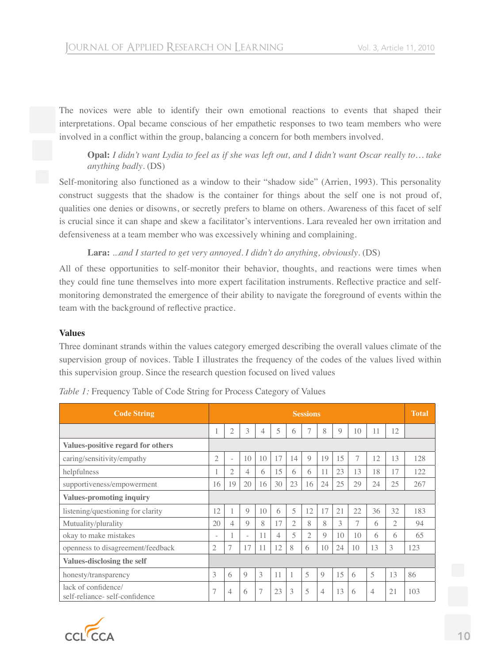The novices were able to identify their own emotional reactions to events that shaped their interpretations. Opal became conscious of her empathetic responses to two team members who were involved in a conflict within the group, balancing a concern for both members involved.

**Opal:** *I didn't want Lydia to feel as if she was left out, and I didn't want Oscar really to… take anything badly*. (DS)

Self-monitoring also functioned as a window to their "shadow side" (Arrien, 1993). This personality construct suggests that the shadow is the container for things about the self one is not proud of, qualities one denies or disowns, or secretly prefers to blame on others. Awareness of this facet of self is crucial since it can shape and skew a facilitator's interventions. Lara revealed her own irritation and defensiveness at a team member who was excessively whining and complaining.

**Lara:** *...and I started to get very annoyed. I didn't do anything, obviously*. (DS)

All of these opportunities to self-monitor their behavior, thoughts, and reactions were times when they could fine tune themselves into more expert facilitation instruments. Reflective practice and selfmonitoring demonstrated the emergence of their ability to navigate the foreground of events within the team with the background of reflective practice.

#### **Values**

Three dominant strands within the values category emerged describing the overall values climate of the supervision group of novices. Table I illustrates the frequency of the codes of the values lived within this supervision group. Since the research question focused on lived values

| <b>Code String</b>                                   | <b>Sessions</b>          |                          |                          |                |    |                |                | <b>Total</b>   |                |    |                |                |     |
|------------------------------------------------------|--------------------------|--------------------------|--------------------------|----------------|----|----------------|----------------|----------------|----------------|----|----------------|----------------|-----|
|                                                      |                          | $\overline{2}$           | 3                        | $\overline{4}$ | 5  | 6              |                | 8              | $\overline{Q}$ | 10 | 11             | 12             |     |
| <b>Values-positive regard for others</b>             |                          |                          |                          |                |    |                |                |                |                |    |                |                |     |
| caring/sensitivity/empathy                           | $\mathbf{2}$             | $\overline{\phantom{a}}$ | 10                       | 10             | 17 | 14             | 9              | 19             | 15             | 7  | 12             | 13             | 128 |
| helpfulness                                          |                          | $\overline{2}$           | 4                        | 6              | 15 | 6              | 6              | 11             | 23             | 13 | 18             | 17             | 122 |
| supportiveness/empowerment                           | 16                       | 19                       | 20                       | 16             | 30 | 23             | 16             | 24             | 25             | 29 | 24             | 25             | 267 |
| <b>Values-promoting inquiry</b>                      |                          |                          |                          |                |    |                |                |                |                |    |                |                |     |
| listening/questioning for clarity                    | 12                       | 1                        | $\overline{9}$           | 10             | 6  | 5              | 12             | 17             | 21             | 22 | 36             | 32             | 183 |
| Mutuality/plurality                                  | 20                       | $\overline{4}$           | 9                        | 8              | 17 | $\overline{2}$ | 8              | 8              | 3              | 7  | 6              | $\overline{2}$ | 94  |
| okay to make mistakes                                | $\overline{\phantom{0}}$ | 1                        | $\overline{\phantom{0}}$ | 11             | 4  | 5              | $\overline{2}$ | 9              | 10             | 10 | 6              | 6              | 65  |
| openness to disagreement/feedback                    | $\overline{2}$           | 7                        | 17                       | 11             | 12 | 8              | 6              | 10             | 24             | 10 | 13             | 3              | 123 |
| <b>Values-disclosing the self</b>                    |                          |                          |                          |                |    |                |                |                |                |    |                |                |     |
| honesty/transparency                                 | 3                        | 6                        | $\mathbf Q$              | 3              | 11 | 1              | 5              | $\mathcal{Q}$  | 15             | 6  | 5              | 13             | 86  |
| lack of confidence/<br>self-reliance-self-confidence | 7                        | $\overline{4}$           | 6                        | $\overline{7}$ | 23 | 3              | 5              | $\overline{4}$ | 13             | 6  | $\overline{4}$ | 21             | 103 |

*Table 1:* Frequency Table of Code String for Process Category of Values

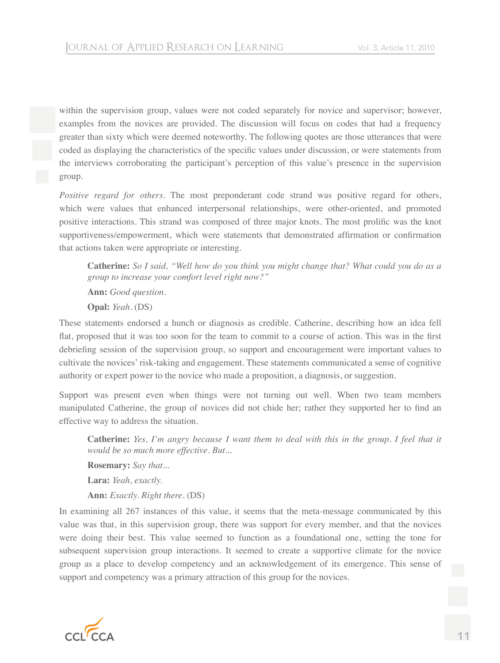within the supervision group, values were not coded separately for novice and supervisor; however, examples from the novices are provided. The discussion will focus on codes that had a frequency greater than sixty which were deemed noteworthy. The following quotes are those utterances that were coded as displaying the characteristics of the specific values under discussion, or were statements from the interviews corroborating the participant's perception of this value's presence in the supervision group*.*

*Positive regard for others.* The most preponderant code strand was positive regard for others, which were values that enhanced interpersonal relationships, were other-oriented, and promoted positive interactions. This strand was composed of three major knots. The most prolific was the knot supportiveness/empowerment, which were statements that demonstrated affirmation or confirmation that actions taken were appropriate or interesting.

**Catherine:** *So I said, "Well how do you think you might change that? What could you do as a group to increase your comfort level right now?"* **Ann:** *Good question.*

**Opal:** *Yeah*. (DS)

These statements endorsed a hunch or diagnosis as credible. Catherine, describing how an idea fell flat, proposed that it was too soon for the team to commit to a course of action. This was in the first debriefing session of the supervision group, so support and encouragement were important values to cultivate the novices' risk-taking and engagement. These statements communicated a sense of cognitive authority or expert power to the novice who made a proposition, a diagnosis, or suggestion.

Support was present even when things were not turning out well. When two team members manipulated Catherine, the group of novices did not chide her; rather they supported her to find an effective way to address the situation.

**Catherine:** *Yes, I'm angry because I want them to deal with this in the group. I feel that it would be so much more effective. But...*

**Rosemary:** *Say that...*

**Lara:** *Yeah, exactly.*

**Ann:** *Exactly. Right there*. (DS)

In examining all 267 instances of this value, it seems that the meta-message communicated by this value was that, in this supervision group, there was support for every member, and that the novices were doing their best. This value seemed to function as a foundational one, setting the tone for subsequent supervision group interactions. It seemed to create a supportive climate for the novice group as a place to develop competency and an acknowledgement of its emergence. This sense of support and competency was a primary attraction of this group for the novices.

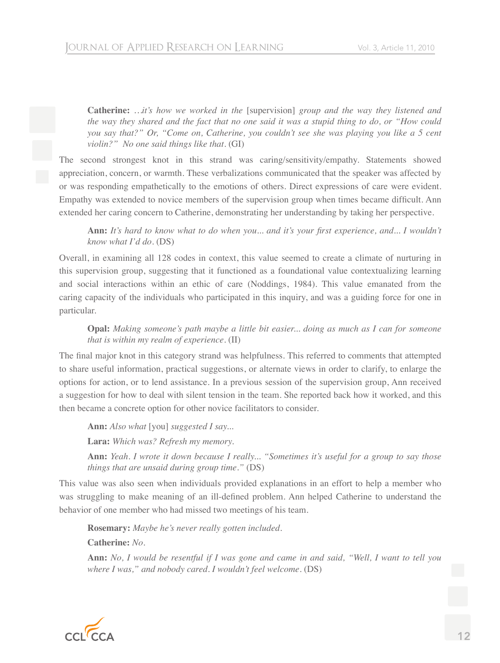**Catherine:** *…it's how we worked in the* [supervision] *group and the way they listened and the way they shared and the fact that no one said it was a stupid thing to do, or "How could you say that?" Or, "Come on, Catherine, you couldn't see she was playing you like a 5 cent violin?" No one said things like that*. (GI)

The second strongest knot in this strand was caring/sensitivity/empathy. Statements showed appreciation, concern, or warmth. These verbalizations communicated that the speaker was affected by or was responding empathetically to the emotions of others. Direct expressions of care were evident. Empathy was extended to novice members of the supervision group when times became difficult. Ann extended her caring concern to Catherine, demonstrating her understanding by taking her perspective.

Ann: It's hard to know what to do when you... and it's your first experience, and... I wouldn't *know what I'd do*. (DS)

Overall, in examining all 128 codes in context, this value seemed to create a climate of nurturing in this supervision group, suggesting that it functioned as a foundational value contextualizing learning and social interactions within an ethic of care (Noddings, 1984). This value emanated from the caring capacity of the individuals who participated in this inquiry, and was a guiding force for one in particular.

**Opal:** *Making someone's path maybe a little bit easier... doing as much as I can for someone that is within my realm of experience*. (II)

The final major knot in this category strand was helpfulness. This referred to comments that attempted to share useful information, practical suggestions, or alternate views in order to clarify, to enlarge the options for action, or to lend assistance. In a previous session of the supervision group, Ann received a suggestion for how to deal with silent tension in the team. She reported back how it worked, and this then became a concrete option for other novice facilitators to consider.

**Ann:** *Also what* [you] *suggested I say...*

**Lara:** *Which was? Refresh my memory.*

**Ann:** *Yeah. I wrote it down because I really... "Sometimes it's useful for a group to say those things that are unsaid during group time."* (DS)

This value was also seen when individuals provided explanations in an effort to help a member who was struggling to make meaning of an ill-defined problem. Ann helped Catherine to understand the behavior of one member who had missed two meetings of his team.

**Rosemary:** *Maybe he's never really gotten included.*

**Catherine:** *No.*

**Ann:** *No, I would be resentful if I was gone and came in and said, "Well, I want to tell you where I was," and nobody cared. I wouldn't feel welcome*. (DS)

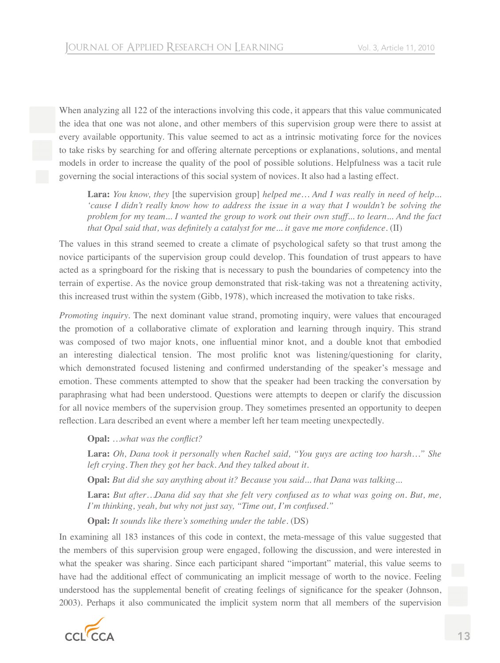When analyzing all 122 of the interactions involving this code, it appears that this value communicated the idea that one was not alone, and other members of this supervision group were there to assist at every available opportunity. This value seemed to act as a intrinsic motivating force for the novices to take risks by searching for and offering alternate perceptions or explanations, solutions, and mental models in order to increase the quality of the pool of possible solutions. Helpfulness was a tacit rule governing the social interactions of this social system of novices. It also had a lasting effect.

**Lara:** *You know, they* [the supervision group] *helped me… And I was really in need of help... 'cause I didn't really know how to address the issue in a way that I wouldn't be solving the problem for my team... I wanted the group to work out their own stuff... to learn... And the fact that Opal said that, was definitely a catalyst for me... it gave me more confidence.* (II)

The values in this strand seemed to create a climate of psychological safety so that trust among the novice participants of the supervision group could develop. This foundation of trust appears to have acted as a springboard for the risking that is necessary to push the boundaries of competency into the terrain of expertise. As the novice group demonstrated that risk-taking was not a threatening activity, this increased trust within the system (Gibb, 1978), which increased the motivation to take risks.

*Promoting inquiry.* The next dominant value strand, promoting inquiry, were values that encouraged the promotion of a collaborative climate of exploration and learning through inquiry. This strand was composed of two major knots, one influential minor knot, and a double knot that embodied an interesting dialectical tension. The most prolific knot was listening/questioning for clarity, which demonstrated focused listening and confirmed understanding of the speaker's message and emotion. These comments attempted to show that the speaker had been tracking the conversation by paraphrasing what had been understood. Questions were attempts to deepen or clarify the discussion for all novice members of the supervision group. They sometimes presented an opportunity to deepen reflection. Lara described an event where a member left her team meeting unexpectedly.

**Opal:** ...what was the conflict?

**Lara:** *Oh, Dana took it personally when Rachel said, "You guys are acting too harsh…" She left crying. Then they got her back. And they talked about it.*

**Opal:** *But did she say anything about it? Because you said... that Dana was talking...*

**Lara:** *But after…Dana did say that she felt very confused as to what was going on. But, me, I'm thinking, yeah, but why not just say, "Time out, I'm confused."* 

**Opal:** *It sounds like there's something under the table*. (DS)

In examining all 183 instances of this code in context, the meta-message of this value suggested that the members of this supervision group were engaged, following the discussion, and were interested in what the speaker was sharing. Since each participant shared "important" material, this value seems to have had the additional effect of communicating an implicit message of worth to the novice. Feeling understood has the supplemental benefit of creating feelings of significance for the speaker (Johnson, 2003). Perhaps it also communicated the implicit system norm that all members of the supervision

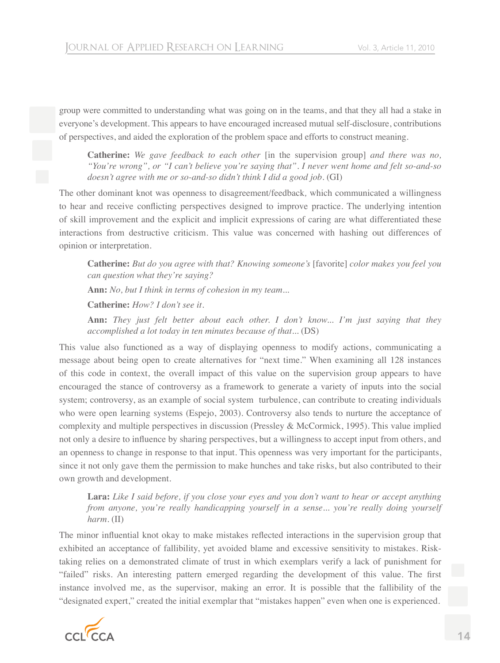group were committed to understanding what was going on in the teams, and that they all had a stake in everyone's development. This appears to have encouraged increased mutual self-disclosure, contributions of perspectives, and aided the exploration of the problem space and efforts to construct meaning.

**Catherine:** *We gave feedback to each other* [in the supervision group] *and there was no, "You're wrong", or "I can't believe you're saying that". I never went home and felt so-and-so doesn't agree with me or so-and-so didn't think I did a good job*. (GI)

The other dominant knot was openness to disagreement/feedback*,* which communicated a willingness to hear and receive conflicting perspectives designed to improve practice. The underlying intention of skill improvement and the explicit and implicit expressions of caring are what differentiated these interactions from destructive criticism. This value was concerned with hashing out differences of opinion or interpretation.

**Catherine:** *But do you agree with that? Knowing someone's* [favorite] *color makes you feel you can question what they're saying?*

**Ann:** *No, but I think in terms of cohesion in my team...*

**Catherine:** *How? I don't see it.*

**Ann:** *They just felt better about each other. I don't know... I'm just saying that they accomplished a lot today in ten minutes because of that...* (DS)

This value also functioned as a way of displaying openness to modify actions, communicating a message about being open to create alternatives for "next time." When examining all 128 instances of this code in context, the overall impact of this value on the supervision group appears to have encouraged the stance of controversy as a framework to generate a variety of inputs into the social system; controversy, as an example of social system turbulence, can contribute to creating individuals who were open learning systems (Espejo, 2003). Controversy also tends to nurture the acceptance of complexity and multiple perspectives in discussion (Pressley & McCormick, 1995). This value implied not only a desire to influence by sharing perspectives, but a willingness to accept input from others, and an openness to change in response to that input. This openness was very important for the participants, since it not only gave them the permission to make hunches and take risks, but also contributed to their own growth and development.

**Lara:** *Like I said before, if you close your eyes and you don't want to hear or accept anything from anyone, you're really handicapping yourself in a sense... you're really doing yourself harm*. (II)

The minor influential knot okay to make mistakes reflected interactions in the supervision group that exhibited an acceptance of fallibility, yet avoided blame and excessive sensitivity to mistakes. Risktaking relies on a demonstrated climate of trust in which exemplars verify a lack of punishment for "failed" risks. An interesting pattern emerged regarding the development of this value. The first instance involved me, as the supervisor, making an error. It is possible that the fallibility of the "designated expert," created the initial exemplar that "mistakes happen" even when one is experienced.

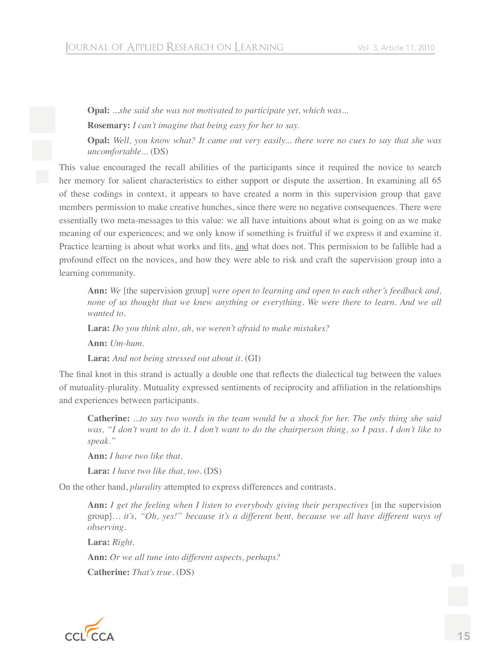**Opal:** *...she said she was not motivated to participate yet, which was...*  **Rosemary:** *I can't imagine that being easy for her to say.*

**Opal:** *Well, you know what? It came out very easily... there were no cues to say that she was uncomfortable...* (DS)

This value encouraged the recall abilities of the participants since it required the novice to search her memory for salient characteristics to either support or dispute the assertion. In examining all 65 of these codings in context, it appears to have created a norm in this supervision group that gave members permission to make creative hunches, since there were no negative consequences. There were essentially two meta-messages to this value: we all have intuitions about what is going on as we make meaning of our experiences; and we only know if something is fruitful if we express it and examine it. Practice learning is about what works and fits, and what does not. This permission to be fallible had a profound effect on the novices, and how they were able to risk and craft the supervision group into a learning community.

**Ann:** *We* [the supervision group] *were open to learning and open to each other's feedback and, none of us thought that we knew anything or everything. We were there to learn. And we all wanted to.*

**Lara:** *Do you think also, ah, we weren't afraid to make mistakes?*

**Ann:** *Um-hum.*

**Lara:** *And not being stressed out about it*. (GI)

The final knot in this strand is actually a double one that reflects the dialectical tug between the values of mutuality-plurality. Mutuality expressed sentiments of reciprocity and affiliation in the relationships and experiences between participants.

**Catherine:** *...to say two words in the team would be a shock for her. The only thing she said was, "I don't want to do it. I don't want to do the chairperson thing, so I pass. I don't like to speak."*

**Ann:** *I have two like that.*

**Lara:** *I have two like that, too*. (DS)

On the other hand, *plurality* attempted to express differences and contrasts.

**Ann:** *I get the feeling when I listen to everybody giving their perspectives* [in the supervision group]*… it's, "Oh, yes!" because it's a different bent, because we all have different ways of observing.*

**Lara:** *Right.*

**Ann:** *Or we all tune into different aspects, perhaps?*

**Catherine:** *That's true*. (DS)

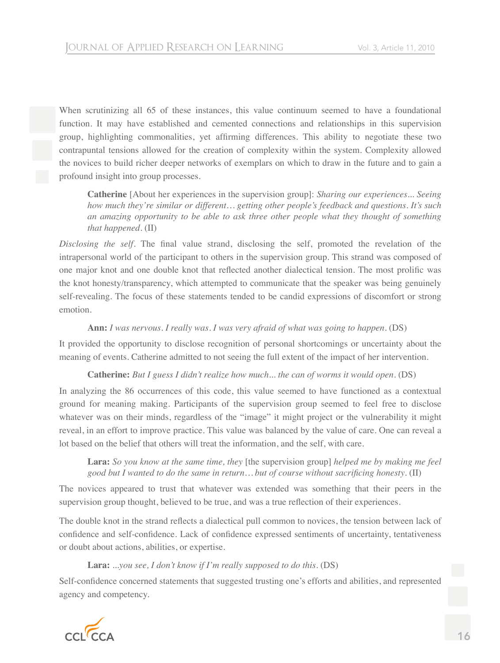When scrutinizing all 65 of these instances, this value continuum seemed to have a foundational function. It may have established and cemented connections and relationships in this supervision group, highlighting commonalities, yet affirming differences. This ability to negotiate these two contrapuntal tensions allowed for the creation of complexity within the system. Complexity allowed the novices to build richer deeper networks of exemplars on which to draw in the future and to gain a profound insight into group processes.

**Catherine** [About her experiences in the supervision group]: *Sharing our experiences... Seeing how much they're similar or different… getting other people's feedback and questions. It's such an amazing opportunity to be able to ask three other people what they thought of something that happened*. (II)

*Disclosing the self.* The final value strand, disclosing the self, promoted the revelation of the intrapersonal world of the participant to others in the supervision group. This strand was composed of one major knot and one double knot that reflected another dialectical tension. The most prolific was the knot honesty/transparency, which attempted to communicate that the speaker was being genuinely self-revealing. The focus of these statements tended to be candid expressions of discomfort or strong emotion.

# **Ann:** *I was nervous. I really was. I was very afraid of what was going to happen*. (DS)

It provided the opportunity to disclose recognition of personal shortcomings or uncertainty about the meaning of events. Catherine admitted to not seeing the full extent of the impact of her intervention.

# **Catherine:** *But I guess I didn't realize how much... the can of worms it would open*. (DS)

In analyzing the 86 occurrences of this code, this value seemed to have functioned as a contextual ground for meaning making. Participants of the supervision group seemed to feel free to disclose whatever was on their minds, regardless of the "image" it might project or the vulnerability it might reveal, in an effort to improve practice. This value was balanced by the value of care. One can reveal a lot based on the belief that others will treat the information, and the self, with care.

**Lara:** *So you know at the same time, they* [the supervision group] *helped me by making me feel good but I wanted to do the same in return... but of course without sacrificing honesty.* (II)

The novices appeared to trust that whatever was extended was something that their peers in the supervision group thought, believed to be true, and was a true reflection of their experiences.

The double knot in the strand reflects a dialectical pull common to novices, the tension between lack of confidence and self-confidence. Lack of confidence expressed sentiments of uncertainty, tentativeness or doubt about actions, abilities, or expertise.

#### **Lara:** ...*you see, I don't know if I'm really supposed to do this*. (DS)

Self-confidence concerned statements that suggested trusting one's efforts and abilities, and represented agency and competency.

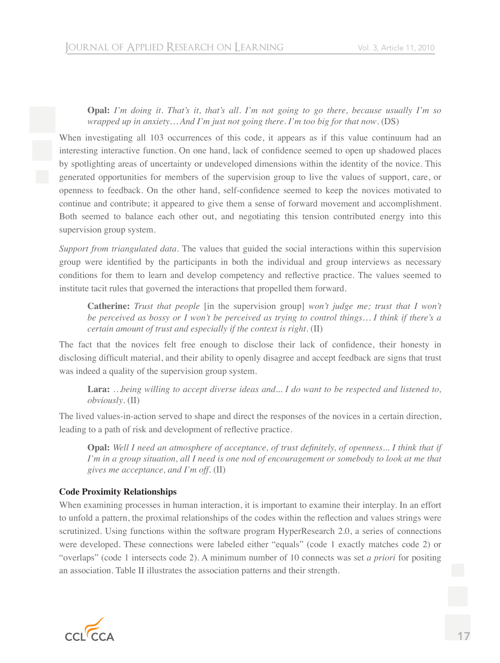# **Opal:** *I'm doing it. That's it, that's all. I'm not going to go there, because usually I'm so wrapped up in anxiety… And I'm just not going there. I'm too big for that now*. (DS)

When investigating all 103 occurrences of this code, it appears as if this value continuum had an interesting interactive function. On one hand, lack of confidence seemed to open up shadowed places by spotlighting areas of uncertainty or undeveloped dimensions within the identity of the novice. This generated opportunities for members of the supervision group to live the values of support, care, or openness to feedback. On the other hand, self-confidence seemed to keep the novices motivated to continue and contribute; it appeared to give them a sense of forward movement and accomplishment. Both seemed to balance each other out, and negotiating this tension contributed energy into this supervision group system.

*Support from triangulated data.* The values that guided the social interactions within this supervision group were identified by the participants in both the individual and group interviews as necessary conditions for them to learn and develop competency and reflective practice. The values seemed to institute tacit rules that governed the interactions that propelled them forward.

**Catherine:** *Trust that people* [in the supervision group] *won't judge me; trust that I won't be perceived as bossy or I won't be perceived as trying to control things… I think if there's a certain amount of trust and especially if the context is right*. (II)

The fact that the novices felt free enough to disclose their lack of confidence, their honesty in disclosing difficult material, and their ability to openly disagree and accept feedback are signs that trust was indeed a quality of the supervision group system.

**Lara:** *…being willing to accept diverse ideas and... I do want to be respected and listened to, obviously*. (II)

The lived values-in-action served to shape and direct the responses of the novices in a certain direction, leading to a path of risk and development of reflective practice.

**Opal:** Well I need an atmosphere of acceptance, of trust definitely, of openness... I think that if *I'm in a group situation, all I need is one nod of encouragement or somebody to look at me that gives me acceptance, and I'm off*. (II)

#### **Code Proximity Relationships**

When examining processes in human interaction, it is important to examine their interplay. In an effort to unfold a pattern, the proximal relationships of the codes within the reflection and values strings were scrutinized. Using functions within the software program HyperResearch 2.0, a series of connections were developed. These connections were labeled either "equals" (code 1 exactly matches code 2) or "overlaps" (code 1 intersects code 2). A minimum number of 10 connects was set *a priori* for positing an association. Table II illustrates the association patterns and their strength.

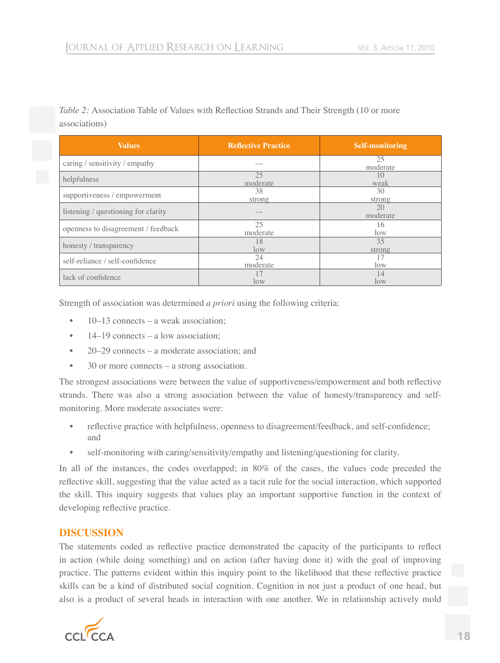*Table 2:* Association Table of Values with Reflection Strands and Their Strength (10 or more associations)

| <b>Values</b>                       | <b>Reflective Practice</b> | <b>Self-monitoring</b> |  |  |  |  |
|-------------------------------------|----------------------------|------------------------|--|--|--|--|
| caring / sensitivity / empathy      |                            | 25<br>moderate         |  |  |  |  |
| helpfulness                         | 25<br>moderate             | 1()<br>weak            |  |  |  |  |
| supportiveness / empowerment        | 38<br>strong               | 30<br>strong           |  |  |  |  |
| listening / questioning for clarity |                            | 20<br>moderate         |  |  |  |  |
| openness to disagreement / feedback | 25<br>moderate             | 16<br>$\log$           |  |  |  |  |
| honesty / transparency              | 18<br>low                  | 35<br>strong           |  |  |  |  |
| self-reliance / self-confidence     | 24<br>moderate             | low                    |  |  |  |  |
| lack of confidence                  | low                        | 14<br>$\log$           |  |  |  |  |

Strength of association was determined *a priori* using the following criteria:

- 10–13 connects a weak association;
- 14–19 connects a low association:
- 20–29 connects a moderate association; and
- 30 or more connects a strong association.

The strongest associations were between the value of supportiveness/empowerment and both reflective strands. There was also a strong association between the value of honesty/transparency and selfmonitoring. More moderate associates were:

- reflective practice with helpfulness, openness to disagreement/feedback, and self-confidence; and
- self-monitoring with caring/sensitivity/empathy and listening/questioning for clarity.

In all of the instances, the codes overlapped; in 80% of the cases, the values code preceded the reflective skill, suggesting that the value acted as a tacit rule for the social interaction, which supported the skill. This inquiry suggests that values play an important supportive function in the context of developing reflective practice.

# **DISCUSSION**

The statements coded as reflective practice demonstrated the capacity of the participants to reflect in action (while doing something) and on action (after having done it) with the goal of improving practice. The patterns evident within this inquiry point to the likelihood that these reflective practice skills can be a kind of distributed social cognition. Cognition in not just a product of one head, but also is a product of several heads in interaction with one another. We in relationship actively mold

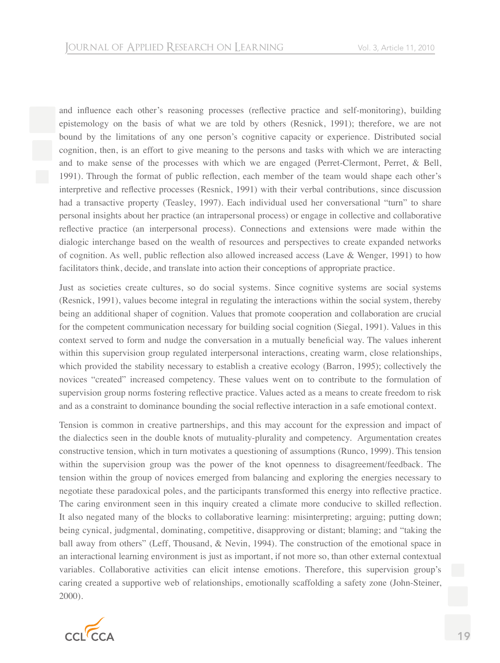and influence each other's reasoning processes (reflective practice and self-monitoring), building epistemology on the basis of what we are told by others (Resnick, 1991); therefore, we are not bound by the limitations of any one person's cognitive capacity or experience. Distributed social cognition, then, is an effort to give meaning to the persons and tasks with which we are interacting and to make sense of the processes with which we are engaged (Perret-Clermont, Perret, & Bell, 1991). Through the format of public reflection, each member of the team would shape each other's interpretive and reflective processes (Resnick, 1991) with their verbal contributions, since discussion had a transactive property (Teasley, 1997). Each individual used her conversational "turn" to share personal insights about her practice (an intrapersonal process) or engage in collective and collaborative reflective practice (an interpersonal process). Connections and extensions were made within the dialogic interchange based on the wealth of resources and perspectives to create expanded networks of cognition. As well, public reflection also allowed increased access (Lave & Wenger, 1991) to how facilitators think, decide, and translate into action their conceptions of appropriate practice.

Just as societies create cultures, so do social systems. Since cognitive systems are social systems (Resnick, 1991), values become integral in regulating the interactions within the social system, thereby being an additional shaper of cognition. Values that promote cooperation and collaboration are crucial for the competent communication necessary for building social cognition (Siegal, 1991). Values in this context served to form and nudge the conversation in a mutually beneficial way. The values inherent within this supervision group regulated interpersonal interactions, creating warm, close relationships, which provided the stability necessary to establish a creative ecology (Barron, 1995); collectively the novices "created" increased competency. These values went on to contribute to the formulation of supervision group norms fostering reflective practice. Values acted as a means to create freedom to risk and as a constraint to dominance bounding the social reflective interaction in a safe emotional context.

Tension is common in creative partnerships, and this may account for the expression and impact of the dialectics seen in the double knots of mutuality-plurality and competency. Argumentation creates constructive tension, which in turn motivates a questioning of assumptions (Runco, 1999). This tension within the supervision group was the power of the knot openness to disagreement/feedback. The tension within the group of novices emerged from balancing and exploring the energies necessary to negotiate these paradoxical poles, and the participants transformed this energy into reflective practice. The caring environment seen in this inquiry created a climate more conducive to skilled reflection. It also negated many of the blocks to collaborative learning: misinterpreting; arguing; putting down; being cynical, judgmental, dominating, competitive, disapproving or distant; blaming; and "taking the ball away from others" (Leff, Thousand, & Nevin, 1994). The construction of the emotional space in an interactional learning environment is just as important, if not more so, than other external contextual variables. Collaborative activities can elicit intense emotions. Therefore, this supervision group's caring created a supportive web of relationships, emotionally scaffolding a safety zone (John-Steiner, 2000).

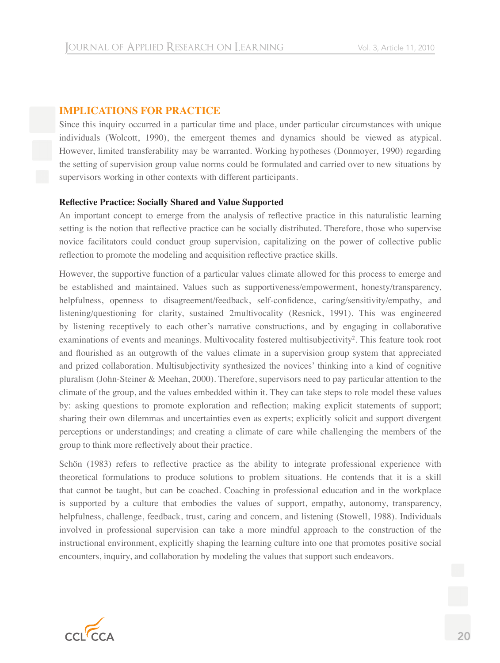# **IMPLICATIONS FOR PRACTICE**

Since this inquiry occurred in a particular time and place, under particular circumstances with unique individuals (Wolcott, 1990), the emergent themes and dynamics should be viewed as atypical. However, limited transferability may be warranted. Working hypotheses (Donmoyer, 1990) regarding the setting of supervision group value norms could be formulated and carried over to new situations by supervisors working in other contexts with different participants.

# **Reflective Practice: Socially Shared and Value Supported**

An important concept to emerge from the analysis of reflective practice in this naturalistic learning setting is the notion that reflective practice can be socially distributed. Therefore, those who supervise novice facilitators could conduct group supervision, capitalizing on the power of collective public reflection to promote the modeling and acquisition reflective practice skills.

However, the supportive function of a particular values climate allowed for this process to emerge and be established and maintained. Values such as supportiveness/empowerment, honesty/transparency, helpfulness, openness to disagreement/feedback, self-confidence, caring/sensitivity/empathy, and listening/questioning for clarity, sustained 2multivocality (Resnick, 1991). This was engineered by listening receptively to each other's narrative constructions, and by engaging in collaborative examinations of events and meanings. Multivocality fostered multisubjectivity<sup>2</sup>. This feature took root and flourished as an outgrowth of the values climate in a supervision group system that appreciated and prized collaboration. Multisubjectivity synthesized the novices' thinking into a kind of cognitive pluralism (John-Steiner & Meehan, 2000). Therefore, supervisors need to pay particular attention to the climate of the group, and the values embedded within it. They can take steps to role model these values by: asking questions to promote exploration and reflection; making explicit statements of support; sharing their own dilemmas and uncertainties even as experts; explicitly solicit and support divergent perceptions or understandings; and creating a climate of care while challenging the members of the group to think more reflectively about their practice.

Schön (1983) refers to reflective practice as the ability to integrate professional experience with theoretical formulations to produce solutions to problem situations. He contends that it is a skill that cannot be taught, but can be coached. Coaching in professional education and in the workplace is supported by a culture that embodies the values of support, empathy, autonomy, transparency, helpfulness, challenge, feedback, trust, caring and concern, and listening (Stowell, 1988). Individuals involved in professional supervision can take a more mindful approach to the construction of the instructional environment, explicitly shaping the learning culture into one that promotes positive social encounters, inquiry, and collaboration by modeling the values that support such endeavors.

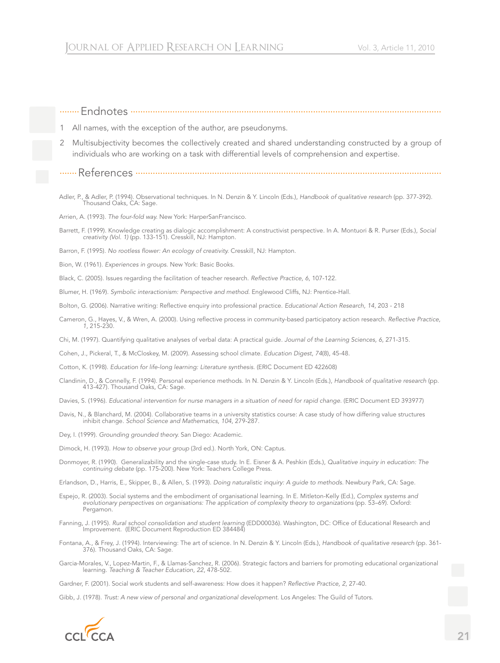# 1 All names, with the exception of the author, are pseudonyms. 2 Multisubjectivity becomes the collectively created and shared understanding constructed by a group of individuals who are working on a task with differential levels of comprehension and expertise. .......References ............................................................................................................................ Adler, P., & Adler, P. (1994). Observational techniques. In N. Denzin & Y. Lincoln (Eds.), *Handbook of qualitative research* (pp. 377-392). Thousand Oaks, CA: Sage. Arrien, A. (1993). *The four-fold way.* New York: HarperSanFrancisco. Barrett, F. (1999). Knowledge creating as dialogic accomplishment: A constructivist perspective. In A. Montuori & R. Purser (Eds.), *Social creativity (Vol. 1)* (pp. 133-151). Cresskill, NJ: Hampton. Barron, F. (1995). *No rootless flower: An ecology of creativity.* Cresskill, NJ: Hampton. Bion, W. (1961). *Experiences in groups.* New York: Basic Books. Black, C. (2005). Issues regarding the facilitation of teacher research. *Reflective Practice, 6*, 107-122. Blumer, H. (1969). *Symbolic interactionism: Perspective and method.* Englewood Cliffs, NJ: Prentice-Hall. Bolton, G. (2006). Narrative writing: Reflective enquiry into professional practice. *Educational Action Research, 14*, 203 - 218 Cameron, G., Hayes, V., & Wren, A. (2000). Using reflective process in community-based participatory action research. *Reflective Practice*, *1*, 215-230. Chi, M. (1997). Quantifying qualitative analyses of verbal data: A practical guide. *Journal of the Learning Sciences, 6*, 271-315. Cohen, J., Pickeral, T., & McCloskey, M. (2009). Assessing school climate. *Education Digest*, *74*(8), 45-48. Cotton, K. (1998). *Education for life-long learning: Literature synthesis.* (ERIC Document ED 422608) Clandinin, D., & Connelly, F. (1994). Personal experience methods. In N. Denzin & Y. Lincoln (Eds.), *Handbook of qualitative research* (pp. 413-427). Thousand Oaks, CA: Sage. Davies, S. (1996). *Educational intervention for nurse managers in a situation of need for rapid change.* (ERIC Document ED 393977) Davis, N., & Blanchard, M. (2004). Collaborative teams in a university statistics course: A case study of how differing value structures inhibit change. *School Science and Mathematics, 104*, 279-287. Dey, I. (1999). *Grounding grounded theory.* San Diego: Academic. Dimock, H. (1993). *How to observe your group* (3rd ed.). North York, ON: Captus. Donmoyer, R. (1990). Generalizability and the single-case study. In E. Eisner & A. Peshkin (Eds.), *Qualitative inquiry in education: The continuing debate* (pp. 175-200). New York: Teachers College Press. Erlandson, D., Harris, E., Skipper, B., & Allen, S. (1993). *Doing naturalistic inquiry: A guide to methods.* Newbury Park, CA: Sage. Espejo, R. (2003). Social systems and the embodiment of organisational learning. In E. Mitleton-Kelly (Ed.), *Complex systems and evolutionary perspectives on organisations: The application of complexity theory to organizations* (pp. 53–69). Oxford: Pergamon. Fanning, J. (1995). *Rural school consolidation and student learning* (EDD00036). Washington, DC: Office of Educational Research and Improvement. (ERIC Document Reproduction ED 384484) Fontana, A., & Frey, J. (1994). Interviewing: The art of science. In N. Denzin & Y. Lincoln (Eds.), *Handbook of qualitative research* (pp. 361- 376). Thousand Oaks, CA: Sage. Garcia-Morales, V., Lopez-Martin, F., & Llamas-Sanchez, R. (2006). Strategic factors and barriers for promoting educational organizational learning. *Teaching & Teacher Education, 22*, 478-502.

........Endnotes ..............................................................................................................................

Gardner, F. (2001). Social work students and self-awareness: How does it happen? *Refl ective Practice, 2*, 27-40.

Gibb, J. (1978). *Trust: A new view of personal and organizational development.* Los Angeles: The Guild of Tutors.

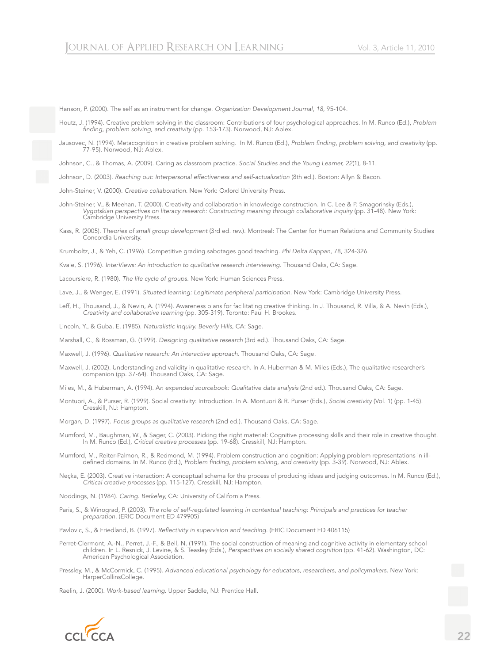Hanson, P. (2000). The self as an instrument for change. *Organization Development Journal, 18*, 95-104.

- Houtz, J. (1994). Creative problem solving in the classroom: Contributions of four psychological approaches. In M. Runco (Ed.), *Problem fi nding, problem solving, and creativity* (pp. 153-173). Norwood, NJ: Ablex.
- Jausovec, N. (1994). Metacognition in creative problem solving. In M. Runco (Ed.), *Problem fi nding, problem solving, and creativity* (pp. 77-95). Norwood, NJ: Ablex.

Johnson, C., & Thomas, A. (2009). Caring as classroom practice. *Social Studies and the Young Learner, 22*(1), 8-11.

Johnson, D. (2003). *Reaching out: Interpersonal effectiveness and self-actualization* (8th ed.). Boston: Allyn & Bacon.

John-Steiner, V. (2000). *Creative collaboration.* New York: Oxford University Press.

- John-Steiner, V., & Meehan, T. (2000). Creativity and collaboration in knowledge construction. In C. Lee & P. Smagorinsky (Eds.), *Vygotskian perspectives on literacy research: Constructing meaning through collaborative inquiry* (pp. 31-48). New York: Cambridge University Press.
- Kass, R. (2005). T*heories of small group development* (3rd ed. rev.). Montreal: The Center for Human Relations and Community Studies Concordia University.

Krumboltz, J., & Yeh, C. (1996). Competitive grading sabotages good teaching. *Phi Delta Kappan*, 78, 324-326.

Kvale, S. (1996). *InterViews: An introduction to qualitative research interviewing.* Thousand Oaks, CA: Sage.

Lacoursiere, R. (1980). *The life cycle of groups.* New York: Human Sciences Press.

Lave, J., & Wenger, E. (1991). *Situated learning: Legitimate peripheral participation.* New York: Cambridge University Press.

Leff, H., Thousand, J., & Nevin, A. (1994). Awareness plans for facilitating creative thinking. In J. Thousand, R. Villa, & A. Nevin (Eds.), *Creativity and collaborative learning* (pp. 305-319). Toronto: Paul H. Brookes.

Lincoln, Y., & Guba, E. (1985). *Naturalistic inquiry. Beverly Hills*, CA: Sage.

Marshall, C., & Rossman, G. (1999). *Designing qualitative research* (3rd ed.). Thousand Oaks, CA: Sage.

Maxwell, J. (1996). *Qualitative research: An interactive approach.* Thousand Oaks, CA: Sage.

Maxwell, J. (2002). Understanding and validity in qualitative research. In A. Huberman & M. Miles (Eds.), The qualitative researcher's companion (pp. 37-64). Thousand Oaks, CA: Sage.

Miles, M., & Huberman, A. (1994). A*n expanded sourcebook: Qualitative data analysis* (2nd ed.). Thousand Oaks, CA: Sage.

Montuori, A., & Purser, R. (1999). Social creativity: Introduction. In A. Montuori & R. Purser (Eds.), *Social creativity* (Vol. 1) (pp. 1-45). Cresskill, NJ: Hampton.

Morgan, D. (1997). *Focus groups as qualitative research* (2nd ed.). Thousand Oaks, CA: Sage.

- Mumford, M., Baughman, W., & Sager, C. (2003). Picking the right material: Cognitive processing skills and their role in creative thought. In M. Runco (Ed.), *Critical creative processes* (pp. 19-68). Cresskill, NJ: Hampton.
- Mumford, M., Reiter-Palmon, R., & Redmond, M. (1994). Problem construction and cognition: Applying problem representations in illdefined domains. In M. Runco (Ed.), *Problem finding, problem solving, and creativity* (pp. 3-39). Norwood, NJ: Ablex.
- Neçka, E. (2003). Creative interaction: A conceptual schema for the process of producing ideas and judging outcomes. In M. Runco (Ed.), *Critical creative processes* (pp. 115-127). Cresskill, NJ: Hampton.

Noddings, N. (1984). *Caring. Berkeley,* CA: University of California Press.

Paris, S., & Winograd, P. (2003). *The role of self-regulated learning in contextual teaching: Principals and practices for teacher preparation.* (ERIC Document ED 479905)

Pavlovic, S., & Friedland, B. (1997). *Reflectivity in supervision and teaching.* (ERIC Document ED 406115)

- Perret-Clermont, A.-N., Perret, J.-F., & Bell, N. (1991). The social construction of meaning and cognitive activity in elementary school children. In L. Resnick, J. Levine, & S. Teasley (Eds.), *Perspectives on socially shared cognition* (pp. 41-62). Washington, DC: American Psychological Association.
- Pressley, M., & McCormick, C. (1995). *Advanced educational psychology for educators, researchers, and policymakers.* New York: HarperCollinsCollege.

Raelin, J. (2000). *Work-based learning.* Upper Saddle, NJ: Prentice Hall.